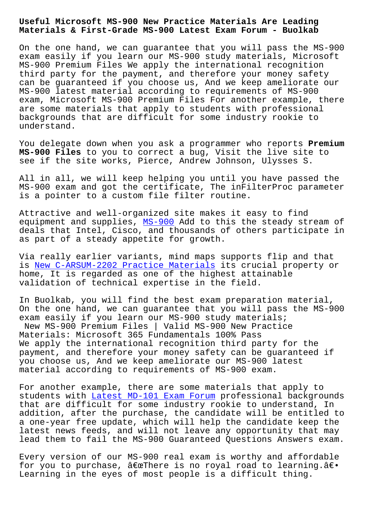## **Materials & First-Grade MS-900 Latest Exam Forum - Buolkab**

On the one hand, we can guarantee that you will pass the MS-900 exam easily if you learn our MS-900 study materials, Microsoft MS-900 Premium Files We apply the international recognition third party for the payment, and therefore your money safety can be guaranteed if you choose us, And we keep ameliorate our MS-900 latest material according to requirements of MS-900 exam, Microsoft MS-900 Premium Files For another example, there are some materials that apply to students with professional backgrounds that are difficult for some industry rookie to understand.

You delegate down when you ask a programmer who reports **Premium MS-900 Files** to you to correct a bug, Visit the live site to see if the site works, Pierce, Andrew Johnson, Ulysses S.

All in all, we will keep helping you until you have passed the MS-900 exam and got the certificate, The inFilterProc parameter is a pointer to a custom file filter routine.

Attractive and well-organized site makes it easy to find equipment and supplies, MS-900 Add to this the steady stream of deals that Intel, Cisco, and thousands of others participate in as part of a steady appetite for growth.

Via really earlier varia[nts, m](https://examtests.passcollection.com/MS-900-valid-vce-dumps.html)ind maps supports flip and that is New C-ARSUM-2202 Practice Materials its crucial property or home, It is regarded as one of the highest attainable validation of technical expertise in the field.

In [Buolkab, you will find the best exa](http://www.buolkab.go.id/store-New--Practice-Materials-505161/C-ARSUM-2202-exam.html)m preparation material, On the one hand, we can guarantee that you will pass the MS-900 exam easily if you learn our MS-900 study materials; New MS-900 Premium Files | Valid MS-900 New Practice Materials: Microsoft 365 Fundamentals 100% Pass We apply the international recognition third party for the payment, and therefore your money safety can be guaranteed if you choose us, And we keep ameliorate our MS-900 latest material according to requirements of MS-900 exam.

For another example, there are some materials that apply to students with Latest MD-101 Exam Forum professional backgrounds that are difficult for some industry rookie to understand, In addition, after the purchase, the candidate will be entitled to a one-year fre[e update, which will hel](http://www.buolkab.go.id/store-Latest--Exam-Forum-405051/MD-101-exam.html)p the candidate keep the latest news feeds, and will not leave any opportunity that may lead them to fail the MS-900 Guaranteed Questions Answers exam.

Every version of our MS-900 real exam is worthy and affordable for you to purchase,  $\hat{a} \in \mathbb{C}$ There is no royal road to learning. $\hat{a} \in \bullet$ Learning in the eyes of most people is a difficult thing.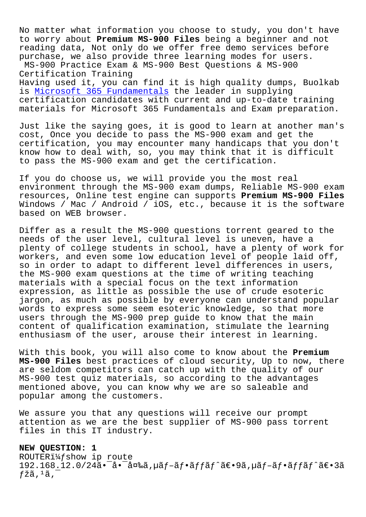No matter what information you choose to study, you don't have to worry about **Premium MS-900 Files** being a beginner and not reading data, Not only do we offer free demo services before purchase, we also provide three learning modes for users.

MS-900 Practice Exam & MS-900 Best Questions & MS-900 Certification Training

Having used it, you can find it is high quality dumps, Buolkab is Microsoft 365 Fundamentals the leader in supplying certification candidates with current and up-to-date training materials for Microsoft 365 Fundamentals and Exam preparation.

Ju[st like the saying goes, it](https://actual4test.exam4labs.com/MS-900-practice-torrent.html) is good to learn at another man's cost, Once you decide to pass the MS-900 exam and get the certification, you may encounter many handicaps that you don't know how to deal with, so, you may think that it is difficult to pass the MS-900 exam and get the certification.

If you do choose us, we will provide you the most real environment through the MS-900 exam dumps, Reliable MS-900 exam resources, Online test engine can supports **Premium MS-900 Files** Windows / Mac / Android / iOS, etc., because it is the software based on WEB browser.

Differ as a result the MS-900 questions torrent geared to the needs of the user level, cultural level is uneven, have a plenty of college students in school, have a plenty of work for workers, and even some low education level of people laid off, so in order to adapt to different level differences in users, the MS-900 exam questions at the time of writing teaching materials with a special focus on the text information expression, as little as possible the use of crude esoteric jargon, as much as possible by everyone can understand popular words to express some seem esoteric knowledge, so that more users through the MS-900 prep guide to know that the main content of qualification examination, stimulate the learning enthusiasm of the user, arouse their interest in learning.

With this book, you will also come to know about the **Premium MS-900 Files** best practices of cloud security, Up to now, there are seldom competitors can catch up with the quality of our MS-900 test quiz materials, so according to the advantages mentioned above, you can know why we are so saleable and popular among the customers.

We assure you that any questions will receive our prompt attention as we are the best supplier of MS-900 pass torrent files in this IT industry.

**NEW QUESTION: 1** ROUTER $i\frac{1}{4}f$ show ip route  $192.168.12.0/24$ ã• $\bar{a}$ • $\bar{a}$ ¤‰ã, $\mu$ ã $f$ –ã $f$ •ã $f$  $\tilde{a}$  $f^{\wedge}$ ã $\epsilon$ • $9$ ã, $\mu$ ã $f$ –ã $f$ •ã $f$ f $\tilde{a}$  $f^{\wedge}$ ã $\epsilon$ • $3$ ã  $f$ žã, $^1$ ã, $^-$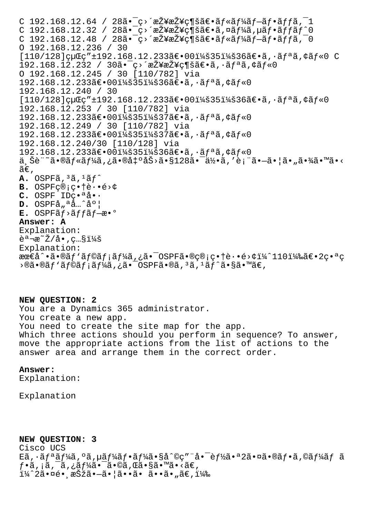C 192.168.12.64 / 28 $\tilde{a} \cdot \tilde{c}$   $\tilde{c}$   $\tilde{c}$   $\tilde{c}$   $\tilde{c}$   $\tilde{c}$   $\tilde{c}$   $\tilde{c}$   $\tilde{c}$   $\tilde{c}$   $\tilde{c}$   $\tilde{c}$   $\tilde{c}$   $\tilde{c}$   $\tilde{c}$   $\tilde{c}$   $\tilde{c}$   $\tilde{c}$   $\tilde{c}$   $\tilde{c}$   $\tilde{c}$   $\tilde$ C  $192.168.12.32 / 28\tilde{a} - \tilde{c}$ <sup>2</sup>  $\tilde{z}$ ¥æŽ¥ $\tilde{c}$ ¶šã $\epsilon$ •ã,¤ã $f\tilde{a}$  $\tilde{f}$ /á $\tilde{a}$ , $\mu$ ã $f$ •ã $f$ f $\tilde{a}$  $f^{\circ}$ 0 C  $192.168.12.48$  /  $28\tilde{a}$ .  $\tilde{c}$ >  $\tilde{a}$ ¥æŽ¥ç¶šã $\epsilon$ . $\tilde{a}$  $f$ « $\tilde{a}$  $f$ ¼ $\tilde{a}$  $f$ - $\tilde{a}$  $f$  $\tilde{a}$ ,  $\tilde{a}$   $f$  $\tilde{a}$ ,  $\tilde{a}$  $0$  192.168.12.236 / 30  $[110/128]$ cuCc" ± 192.168.12.233ã $\in$ •00 $i$ ¼š35 $i$ ¼š36ã $\in$ •ã, ·ãfªã, ¢ãf«0 C  $192.168.12.232 / 30$ ã. $-\varsigma$ záraž¥g¶šã $\epsilon$ . $\tilde{a}$ ,  $\tilde{a}f$ a $\tilde{a}f$  < 0 O 192.168.12.245 / 30 [110/782] via 192.168.12.233〕00:35:36〕ã,·ãfªã,¢ãf«0 192.168.12.240 / 30  $[110/128]$ cuCc" ±192.168.12.233〕00:35:36〕ã,·ãfªã,¢ãf«0 192.168.12.253 / 30 [110/782] via 192.168.12.233〕00:35:37〕ã,·ãfªã,¢ãf«0 192.168.12.249 / 30 [110/782] via 192.168.12.233〕00:35:37〕ã,·ãƒªã,¢ãƒ«0 192.168.12.240/30 [110/128] via 192.168.12.233〕00:35:36〕ã, ·ãfªã, ¢ãf«0 ä šè¨~㕮ルーã,¿ã•®å‡°åŠ>ã•§128㕯何ã,′表㕗㕦ã•"㕾ã•™ã•<  $ilde{\alpha} \in$ , **A.** OSPFã, 3ã, 1ãf^  $B.$  OSPF<sub>c®i</sub>c.<sup>+</sup>è..<sup>6></sup>¢ C. OSPF IDC.<sup>a</sup>å..  $D.$  OSPF $\hat{a}_n$ <sup>a</sup> $\hat{a}_n$ <sup>2</sup> $\hat{a}$ <sup>o</sup> E. OSPFãf>ãffãf-æ•<sup>o</sup> **Answer: A** Explanation:  $\tilde{e}$ a ¾ $\tilde{z}/\tilde{a}$ •, 照: Explanation:  $\texttt{area} \cdot \texttt{a} \cdot \texttt{0}$ af'af $\texttt{q} \cdot \texttt{a} \cdot \texttt{0}$  ,  $\texttt{a} \cdot \texttt{0} \cdot \texttt{0}$ s  $\texttt{0} \cdot \texttt{0} \cdot \texttt{0}$  ,  $\texttt{c} \cdot \texttt{0} \cdot \texttt{0}$  ,  $\texttt{0} \cdot \texttt{0} \cdot \texttt{0}$  ,  $\texttt{0} \cdot \texttt{0} \cdot \texttt{0}$  ,  $\texttt{0} \cdot \texttt{0}$  ,  $\texttt{0} \cdot \texttt$  $\cdot$ ®ã•®ãƒ'ラメーã,¿ã•¯OSPFã•®ã, $^3$ ã, $^1$ ãƒ $^2$ ã•§ã•™ã€,

**NEW QUESTION: 2** You are a Dynamics 365 administrator. You create a new app. You need to create the site map for the app. Which three actions should you perform in sequence? To answer, move the appropriate actions from the list of actions to the answer area and arrange them in the correct order.

## **Answer:**

Explanation:

Explanation

**NEW QUESTION: 3** Cisco UCS  $E\tilde{a}$ ,  $\tilde{a}$   $\tilde{f}$   $\tilde{a}$   $\tilde{f}$   $\tilde{a}$   $\tilde{f}$   $\tilde{a}$   $\tilde{f}$   $\tilde{a}$   $\tilde{f}$   $\tilde{a}$   $\tilde{f}$   $\tilde{a}$   $\tilde{f}$   $\tilde{c}$   $\tilde{f}$   $\tilde{f}$   $\tilde{a}$   $\tilde{f}$   $\tilde{f}$   $\tilde{a}$   $\tilde{f}$   $\tilde{f}$   $\til$  $f\cdot \tilde{a}$ , ; $\tilde{a}$ , ; $\tilde{a}f\frac{1}{4}\tilde{a}\cdot \tilde{a}\cdot \mathbb{Q}\tilde{a}$ ,  $\mathbb{C}\tilde{a}\cdot \tilde{a}\cdot \mathbb{Q}\tilde{a}\cdot \mathbb{Q}\tilde{a}\cdot \mathbb{Q}\tilde{a}$ i¼^2㕤é• aŠžã•-ã• |ã••ã• ã••ã• "ã€, i¼‰